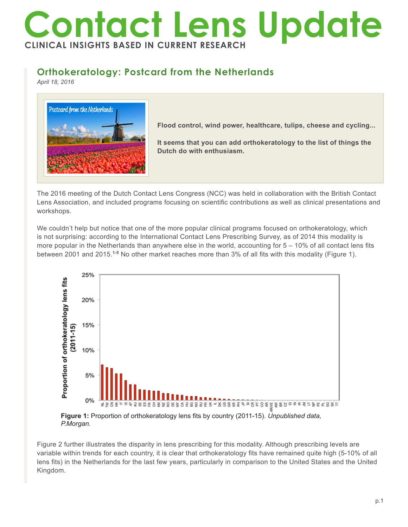## **Contact Lens Update CLINICAL INSIGHTS BASED IN CURRENT RESEARCH**

## **Orthokeratology: Postcard from the Netherlands**

*April 18, 2016*



**Flood control, wind power, healthcare, tulips, cheese and cycling...** 

**It seems that you can add orthokeratology to the list of things the Dutch do with enthusiasm.**

The 2016 meeting of the Dutch Contact Lens Congress (NCC) was held in collaboration with the British Contact Lens Association, and included programs focusing on scientific contributions as well as clinical presentations and workshops.

We couldn't help but notice that one of the more popular clinical programs focused on orthokeratology, which is not surprising: according to the International Contact Lens Prescribing Survey, as of 2014 this modality is more popular in the Netherlands than anywhere else in the world, accounting for 5 – 10% of all contact lens fits between 2001 and 2015.**1-5** No other market reaches more than 3% of all fits with this modality (Figure 1).



**Figure 1:** Proportion of orthokeratology lens fits by country (2011-15). *Unpublished data, P.Morgan.*

Figure 2 further illustrates the disparity in lens prescribing for this modality. Although prescribing levels are variable within trends for each country, it is clear that orthokeratology fits have remained quite high (5-10% of all lens fits) in the Netherlands for the last few years, particularly in comparison to the United States and the United Kingdom.